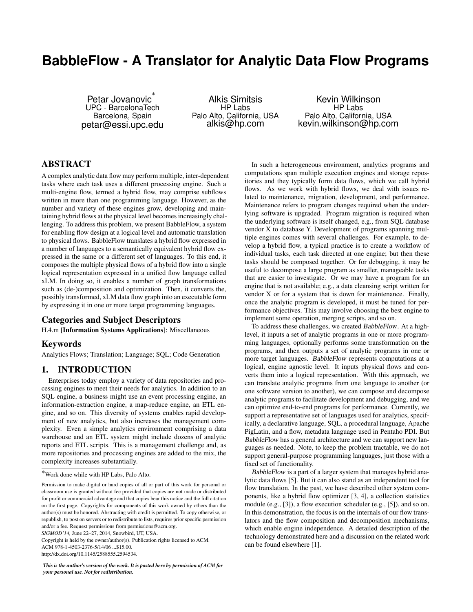# **BabbleFlow - A Translator for Analytic Data Flow Programs**

Petar Jovanovic<sup>\*</sup> UPC - BarcelonaTech Barcelona, Spain petar@essi.upc.edu

Alkis Simitsis HP Labs Palo Alto, California, USA alkis@hp.com

Kevin Wilkinson HP Labs Palo Alto, California, USA kevin.wilkinson@hp.com

## ABSTRACT

A complex analytic data flow may perform multiple, inter-dependent tasks where each task uses a different processing engine. Such a multi-engine flow, termed a hybrid flow, may comprise subflows written in more than one programming language. However, as the number and variety of these engines grow, developing and maintaining hybrid flows at the physical level becomes increasingly challenging. To address this problem, we present BabbleFlow, a system for enabling flow design at a logical level and automatic translation to physical flows. BabbleFlow translates a hybrid flow expressed in a number of languages to a semantically equivalent hybrid flow expressed in the same or a different set of languages. To this end, it composes the multiple physical flows of a hybrid flow into a single logical representation expressed in a unified flow language called xLM. In doing so, it enables a number of graph transformations such as (de-)composition and optimization. Then, it converts the, possibly transformed, xLM data flow graph into an executable form by expressing it in one or more target programming languages.

## Categories and Subject Descriptors

H.4.m [Information Systems Applications]: Miscellaneous

## Keywords

Analytics Flows; Translation; Language; SQL; Code Generation

## 1. INTRODUCTION

Enterprises today employ a variety of data repositories and processing engines to meet their needs for analytics. In addition to an SQL engine, a business might use an event processing engine, an information-extraction engine, a map-reduce engine, an ETL engine, and so on. This diversity of systems enables rapid development of new analytics, but also increases the management complexity. Even a simple analytics environment comprising a data warehouse and an ETL system might include dozens of analytic reports and ETL scripts. This is a management challenge and, as more repositories and processing engines are added to the mix, the complexity increases substantially.

*SIGMOD'14,* June 22–27, 2014, Snowbird, UT, USA.

Copyright is held by the owner/author(s). Publication rights licensed to ACM. ACM 978-1-4503-2376-5/14/06 ...\$15.00.

http://dx.doi.org/10.1145/2588555.2594534.

*This is the author's version of the work. It is posted here by permission of ACM for your personal use. Not for redistribution.* 

In such a heterogeneous environment, analytics programs and computations span multiple execution engines and storage repositories and they typically form data flows, which we call hybrid flows. As we work with hybrid flows, we deal with issues related to maintenance, migration, development, and performance. Maintenance refers to program changes required when the underlying software is upgraded. Program migration is required when the underlying software is itself changed, e.g., from SQL database vendor X to database Y. Development of programs spanning multiple engines comes with several challenges. For example, to develop a hybrid flow, a typical practice is to create a workflow of individual tasks, each task directed at one engine; but then these tasks should be composed together. Or for debugging, it may be useful to decompose a large program as smaller, manageable tasks that are easier to investigate. Or we may have a program for an engine that is not available; e.g., a data cleansing script written for vendor X or for a system that is down for maintenance. Finally, once the analytic program is developed, it must be tuned for performance objectives. This may involve choosing the best engine to implement some operation, merging scripts, and so on.

To address these challenges, we created BabbleFlow. At a highlevel, it inputs a set of analytic programs in one or more programming languages, optionally performs some transformation on the programs, and then outputs a set of analytic programs in one or more target languages. BabbleFlow represents computations at a logical, engine agnostic level. It inputs physical flows and converts them into a logical representation. With this approach, we can translate analytic programs from one language to another (or one software version to another), we can compose and decompose analytic programs to facilitate development and debugging, and we can optimize end-to-end programs for performance. Currently, we support a representative set of languages used for analytics, specifically, a declarative language, SQL, a procedural language, Apache PigLatin, and a flow, metadata language used in Pentaho PDI. But BabbleFlow has a general architecture and we can support new languages as needed. Note, to keep the problem tractable, we do not support general-purpose programming languages, just those with a fixed set of functionality.

BabbleFlow is a part of a larger system that manages hybrid analytic data flows [5]. But it can also stand as an independent tool for flow translation. In the past, we have described other system components, like a hybrid flow optimizer [3, 4], a collection statistics module (e.g., [3]), a flow execution scheduler (e.g., [5]), and so on. In this demonstration, the focus is on the internals of our flow translators and the flow composition and decomposition mechanisms, which enable engine independence. A detailed description of the technology demonstrated here and a discussion on the related work can be found elsewhere [1].

<sup>∗</sup>Work done while with HP Labs, Palo Alto.

Permission to make digital or hard copies of all or part of this work for personal or classroom use is granted without fee provided that copies are not made or distributed for profit or commercial advantage and that copies bear this notice and the full citation on the first page. Copyrights for components of this work owned by others than the author(s) must be honored. Abstracting with credit is permitted. To copy otherwise, or republish, to post on servers or to redistribute to lists, requires prior specific permission and/or a fee. Request permissions from permissions@acm.org.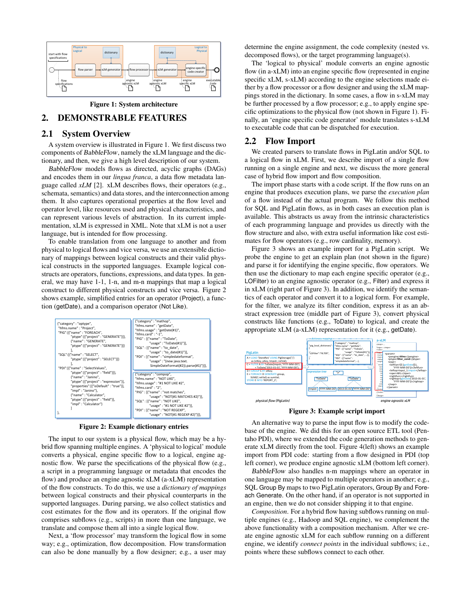

Figure 1: System architecture

## 2. DEMONSTRABLE FEATURES

## 2.1 System Overview

A system overview is illustrated in Figure 1. We first discuss two components of BabbleFlow, namely the xLM language and the dictionary, and then, we give a high level description of our system.

BabbleFlow models flows as directed, acyclic graphs (DAGs) and encodes them in our *lingua franca*, a data flow metadata language called *xLM* [2]. xLM describes flows, their operators (e.g., schemata, semantics) and data stores, and the interconnection among them. It also captures operational properties at the flow level and operator level, like resources used and physical characteristics, and can represent various levels of abstraction. In its current implementation, xLM is expressed in XML. Note that xLM is not a user language, but is intended for flow processing.

To enable translation from one language to another and from physical to logical flows and vice versa, we use an extensible dictionary of mappings between logical constructs and their valid physical constructs in the supported languages. Example logical constructs are operators, functions, expressions, and data types. In general, we may have 1-1, 1-n, and m-n mappings that map a logical construct to different physical constructs and vice versa. Figure 2 shows example, simplified entries for an operator (Project), a function (getDate), and a comparison operator (Not Like).



Figure 2: Example dictionary entries

The input to our system is a physical flow, which may be a hybrid flow spanning multiple engines. A 'physical to logical' module converts a physical, engine specific flow to a logical, engine agnostic flow. We parse the specifications of the physical flow (e.g., a script in a programming language or metadata that encodes the flow) and produce an engine agnostic xLM (a-xLM) representation of the flow constructs. To do this, we use a *dictionary of mappings* between logical constructs and their physical counterparts in the supported languages. During parsing, we also collect statistics and cost estimates for the flow and its operators. If the original flow comprises subflows (e.g., scripts) in more than one language, we translate and compose them all into a single logical flow.

Next, a 'flow processor' may transform the logical flow in some way; e.g., optimization, flow decomposition. Flow transformation can also be done manually by a flow designer; e.g., a user may

determine the engine assignment, the code complexity (nested vs. decomposed flows), or the target programming language(s).

The 'logical to physical' module converts an engine agnostic flow (in a-xLM) into an engine specific flow (represented in engine specific xLM, s-xLM) according to the engine selections made either by a flow processor or a flow designer and using the xLM mappings stored in the dictionary. In some cases, a flow in s-xLM may be further processed by a flow processor; e.g., to apply engine specific optimizations to the physical flow (not shown in Figure 1). Finally, an 'engine specific code generator' module translates s-xLM to executable code that can be dispatched for execution.

#### 2.2 Flow Import

We created parsers to translate flows in PigLatin and/or SQL to a logical flow in xLM. First, we describe import of a single flow running on a single engine and next, we discuss the more general case of hybrid flow import and flow composition.

The import phase starts with a code script. If the flow runs on an engine that produces execution plans, we parse the *execution plan* of a flow instead of the actual program. We follow this method for SQL and PigLatin flows, as in both cases an execution plan is available. This abstracts us away from the intrinsic characteristics of each programming language and provides us directly with the flow structure and also, with extra useful information like cost estimates for flow operators (e.g., row cardinality, memory).

Figure 3 shows an example import for a PigLatin script. We probe the engine to get an explain plan (not shown in the figure) and parse it for identifying the engine specific, flow operators. We then use the dictionary to map each engine specific operator (e.g., LOFilter) to an engine agnostic operator (e.g., Filter) and express it in xLM (right part of Figure 3). In addition, we identify the semantics of each operator and convert it to a logical form. For example, for the filter, we analyze its filter condition, express it as an abstract expression tree (middle part of Figure 3), convert physical constructs like functions (e.g., ToDate) to logical, and create the appropriate xLM (a-xLM) representation for it (e.g., getDate).



Figure 3: Example script import

An alternative way to parse the input flow is to modify the codebase of the engine. We did this for an open source ETL tool (Pentaho PDI), where we extended the code generation methods to generate xLM directly from the tool. Figure 4(left) shows an example import from PDI code: starting from a flow designed in PDI (top left corner), we produce engine agnostic xLM (bottom left corner).

BabbleFlow also handles n-m mappings where an operator in one language may be mapped to multiple operators in another; e.g., SQL Group By maps to two PigLatin operators, Group By and Foreach Generate. On the other hand, if an operator is not supported in an engine, then we do not consider shipping it to that engine.

*Composition*. For a hybrid flow having subflows running on multiple engines (e.g., Hadoop and SQL engine), we complement the above functionality with a composition mechanism. After we create engine agnostic xLM for each subflow running on a different engine, we identify *connect points* in the individual subflows; i.e., points where these subflows connect to each other.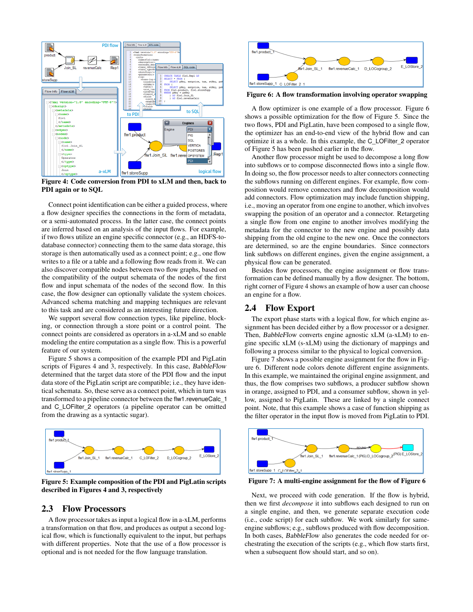

Figure 4: Code conversion from PDI to xLM and then, back to PDI again or to SQL

Connect point identification can be either a guided process, where a flow designer specifies the connections in the form of metadata, or a semi-automated process. In the latter case, the connect points are inferred based on an analysis of the input flows. For example, if two flows utilize an engine specific connector (e.g., an HDFS-todatabase connector) connecting them to the same data storage, this storage is then automatically used as a connect point; e.g., one flow writes to a file or a table and a following flow reads from it. We can also discover compatible nodes between two flow graphs, based on the compatibility of the output schemata of the nodes of the first flow and input schemata of the nodes of the second flow. In this case, the flow designer can optionally validate the system choices. Advanced schema matching and mapping techniques are relevant to this task and are considered as an interesting future direction.

We support several flow connection types, like pipeline, blocking, or connection through a store point or a control point. The connect points are considered as operators in a-xLM and so enable modeling the entire computation as a single flow. This is a powerful feature of our system.

Figure 5 shows a composition of the example PDI and PigLatin scripts of Figures 4 and 3, respectively. In this case, BabbleFlow determined that the target data store of the PDI flow and the input data store of the PigLatin script are compatible; i.e., they have identical schemata. So, these serve as a connect point, which in turn was transformed to a pipeline connector between the flw1.revenueCalc\_1 and C\_LOFilter\_2 operators (a pipeline operator can be omitted from the drawing as a syntactic sugar).



Figure 5: Example composition of the PDI and PigLatin scripts described in Figures 4 and 3, respectively

#### 2.3 Flow Processors

A flow processor takes as input a logical flow in a-xLM, performs a transformation on that flow, and produces as output a second logical flow, which is functionally equivalent to the input, but perhaps with different properties. Note that the use of a flow processor is optional and is not needed for the flow language translation.



Figure 6: A flow transformation involving operator swapping

A flow optimizer is one example of a flow processor. Figure 6 shows a possible optimization for the flow of Figure 5. Since the two flows, PDI and PigLatin, have been composed to a single flow, the optimizer has an end-to-end view of the hybrid flow and can optimize it as a whole. In this example, the C\_LOFilter\_2 operator of Figure 5 has been pushed earlier in the flow.

Another flow processor might be used to decompose a long flow into subflows or to compose disconnected flows into a single flow. In doing so, the flow processor needs to alter connectors connecting the subflows running on different engines. For example, flow composition would remove connectors and flow decomposition would add connectors. Flow optimization may include function shipping, i.e., moving an operator from one engine to another, which involves swapping the position of an operator and a connector. Retargeting a single flow from one engine to another involves modifying the metadata for the connector to the new engine and possibly data shipping from the old engine to the new one. Once the connectors are determined, so are the engine boundaries. Since connectors link subflows on different engines, given the engine assignment, a physical flow can be generated.

Besides flow processors, the engine assignment or flow transformation can be defined manually by a flow designer. The bottom, right corner of Figure 4 shows an example of how a user can choose an engine for a flow.

#### 2.4 Flow Export

The export phase starts with a logical flow, for which engine assignment has been decided either by a flow processor or a designer. Then, BabbleFlow converts engine agnostic xLM (a-xLM) to engine specific xLM (s-xLM) using the dictionary of mappings and following a process similar to the physical to logical conversion.

Figure 7 shows a possible engine assignment for the flow in Figure 6. Different node colors denote different engine assignments. In this example, we maintained the original engine assignment, and thus, the flow comprises two subflows, a producer subflow shown in orange, assigned to PDI, and a consumer subflow, shown in yellow, assigned to PigLatin. These are linked by a single connect point. Note, that this example shows a case of function shipping as the filter operator in the input flow is moved from PigLatin to PDI.



Figure 7: A multi-engine assignment for the flow of Figure 6

Next, we proceed with code generation. If the flow is hybrid, then we first *decompose* it into subflows each designed to run on a single engine, and then, we generate separate execution code (i.e., code script) for each subflow. We work similarly for sameengine subflows; e.g., subflows produced with flow decomposition. In both cases, BabbleFlow also generates the code needed for orchestrating the execution of the scripts (e.g., which flow starts first, when a subsequent flow should start, and so on).